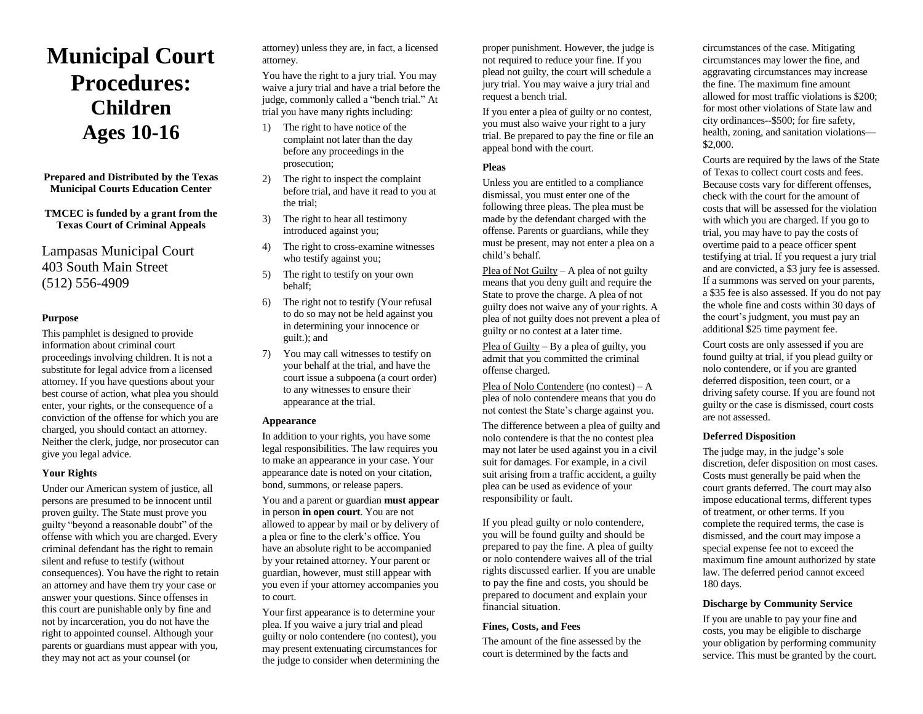# **Municipal Court Procedures: Children Ages 10-16**

**Prepared and Distributed by the Texas Municipal Courts Education Center**

**TMCEC is funded by a grant from the Texas Court of Criminal Appeals**

Lampasas Municipal Court 403 South Main Street (512) 556-4909

## **Purpose**

This pamphlet is designed to provide information about criminal court proceedings involving children. It is not a substitute for legal advice from a licensed attorney. If you have questions about your best course of action, what plea you should enter, your rights, or the consequence of a conviction of the offense for which you are charged, you should contact an attorney. Neither the clerk, judge, nor prosecutor can give you legal advice.

#### **Your Rights**

Under our American system of justice, all persons are presumed to be innocent until proven guilty. The State must prove you guilty "beyond a reasonable doubt" of the offense with which you are charged. Every criminal defendant has the right to remain silent and refuse to testify (without consequences). You have the right to retain an attorney and have them try your case or answer your questions. Since offenses in this court are punishable only by fine and not by incarceration, you do not have the right to appointed counsel. Although your parents or guardians must appear with you, they may not act as your counsel (or

attorney) unless they are, in fact, a licensed attorney.

You have the right to a jury trial. You may waive a jury trial and have a trial before the judge, commonly called a "bench trial." At trial you have many rights including:

- 1) The right to have notice of the complaint not later than the day before any proceedings in the prosecution;
- 2) The right to inspect the complaint before trial, and have it read to you at the trial;
- 3) The right to hear all testimony introduced against you;
- 4) The right to cross-examine witnesses who testify against you;
- 5) The right to testify on your own behalf;
- 6) The right not to testify (Your refusal to do so may not be held against you in determining your innocence or guilt.); and
- 7) You may call witnesses to testify on your behalf at the trial, and have the court issue a subpoena (a court order) to any witnesses to ensure their appearance at the trial.

#### **Appearance**

In addition to your rights, you have some legal responsibilities. The law requires you to make an appearance in your case. Your appearance date is noted on your citation, bond, summons, or release papers.

You and a parent or guardian **must appear** in person **in open court**. You are not allowed to appear by mail or by delivery of a plea or fine to the clerk's office. You have an absolute right to be accompanied by your retained attorney. Your parent or guardian, however, must still appear with you even if your attorney accompanies you to court.

Your first appearance is to determine your plea. If you waive a jury trial and plead guilty or nolo contendere (no contest), you may present extenuating circumstances for the judge to consider when determining the

proper punishment. However, the judge is not required to reduce your fine. If you plead not guilty, the court will schedule a jury trial. You may waive a jury trial and request a bench trial.

If you enter a plea of guilty or no contest, you must also waive your right to a jury trial. Be prepared to pay the fine or file an appeal bond with the court.

# **Pleas**

Unless you are entitled to a compliance dismissal, you must enter one of the following three pleas. The plea must be made by the defendant charged with the offense. Parents or guardians, while they must be present, may not enter a plea on a child's behalf.

Plea of Not Guilty – A plea of not guilty means that you deny guilt and require the State to prove the charge. A plea of not guilty does not waive any of your rights. A plea of not guilty does not prevent a plea of guilty or no contest at a later time.

Plea of Guilty – By a plea of guilty, you admit that you committed the criminal offense charged.

Plea of Nolo Contendere (no contest) – A plea of nolo contendere means that you do not contest the State's charge against you.

The difference between a plea of guilty and nolo contendere is that the no contest plea may not later be used against you in a civil suit for damages. For example, in a civil suit arising from a traffic accident, a guilty plea can be used as evidence of your responsibility or fault.

If you plead guilty or nolo contendere, you will be found guilty and should be prepared to pay the fine. A plea of guilty or nolo contendere waives all of the trial rights discussed earlier. If you are unable to pay the fine and costs, you should be prepared to document and explain your financial situation.

# **Fines, Costs, and Fees**

The amount of the fine assessed by the court is determined by the facts and

circumstances of the case. Mitigating circumstances may lower the fine, and aggravating circumstances may increase the fine. The maximum fine amount allowed for most traffic violations is \$200; for most other violations of State law and city ordinances--\$500; for fire safety, health, zoning, and sanitation violations— \$2,000.

Courts are required by the laws of the State of Texas to collect court costs and fees. Because costs vary for different offenses, check with the court for the amount of costs that will be assessed for the violation with which you are charged. If you go to trial, you may have to pay the costs of overtime paid to a peace officer spent testifying at trial. If you request a jury trial and are convicted, a \$3 jury fee is assessed. If a summons was served on your parents, a \$35 fee is also assessed. If you do not pay the whole fine and costs within 30 days of the court's judgment, you must pay an additional \$25 time payment fee.

Court costs are only assessed if you are found guilty at trial, if you plead guilty or nolo contendere, or if you are granted deferred disposition, teen court, or a driving safety course. If you are found not guilty or the case is dismissed, court costs are not assessed.

# **Deferred Disposition**

The judge may, in the judge's sole discretion, defer disposition on most cases. Costs must generally be paid when the court grants deferred. The court may also impose educational terms, different types of treatment, or other terms. If you complete the required terms, the case is dismissed, and the court may impose a special expense fee not to exceed the maximum fine amount authorized by state law. The deferred period cannot exceed 180 days.

# **Discharge by Community Service**

If you are unable to pay your fine and costs, you may be eligible to discharge your obligation by performing community service. This must be granted by the court.